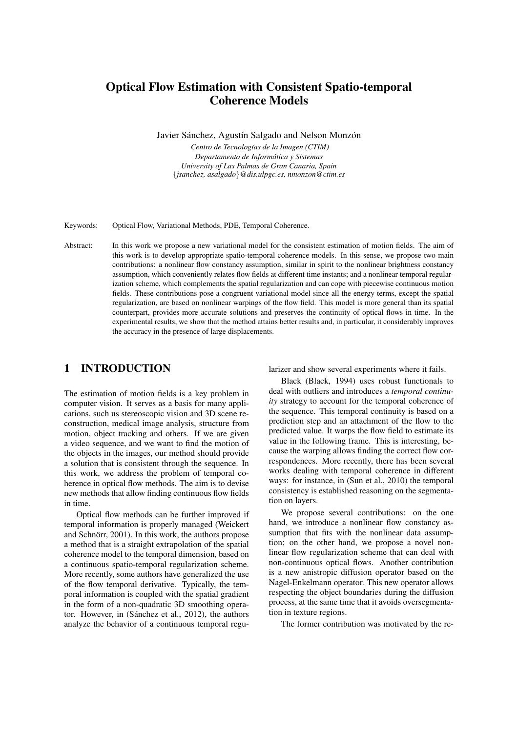# Optical Flow Estimation with Consistent Spatio-temporal Coherence Models

Javier Sánchez, Agustín Salgado and Nelson Monzón

Centro de Tecnologías de la Imagen (CTIM) *Departamento de Informatica y Sistemas ´ University of Las Palmas de Gran Canaria, Spain* {*jsanchez, asalgado*}*@dis.ulpgc.es, nmonzon@ctim.es*

Keywords: Optical Flow, Variational Methods, PDE, Temporal Coherence.

Abstract: In this work we propose a new variational model for the consistent estimation of motion fields. The aim of this work is to develop appropriate spatio-temporal coherence models. In this sense, we propose two main contributions: a nonlinear flow constancy assumption, similar in spirit to the nonlinear brightness constancy assumption, which conveniently relates flow fields at different time instants; and a nonlinear temporal regularization scheme, which complements the spatial regularization and can cope with piecewise continuous motion fields. These contributions pose a congruent variational model since all the energy terms, except the spatial regularization, are based on nonlinear warpings of the flow field. This model is more general than its spatial counterpart, provides more accurate solutions and preserves the continuity of optical flows in time. In the experimental results, we show that the method attains better results and, in particular, it considerably improves the accuracy in the presence of large displacements.

## 1 INTRODUCTION

The estimation of motion fields is a key problem in computer vision. It serves as a basis for many applications, such us stereoscopic vision and 3D scene reconstruction, medical image analysis, structure from motion, object tracking and others. If we are given a video sequence, and we want to find the motion of the objects in the images, our method should provide a solution that is consistent through the sequence. In this work, we address the problem of temporal coherence in optical flow methods. The aim is to devise new methods that allow finding continuous flow fields in time.

Optical flow methods can be further improved if temporal information is properly managed (Weickert and Schnörr, 2001). In this work, the authors propose a method that is a straight extrapolation of the spatial coherence model to the temporal dimension, based on a continuous spatio-temporal regularization scheme. More recently, some authors have generalized the use of the flow temporal derivative. Typically, the temporal information is coupled with the spatial gradient in the form of a non-quadratic 3D smoothing operator. However, in (Sánchez et al., 2012), the authors analyze the behavior of a continuous temporal regularizer and show several experiments where it fails.

Black (Black, 1994) uses robust functionals to deal with outliers and introduces a *temporal continuity* strategy to account for the temporal coherence of the sequence. This temporal continuity is based on a prediction step and an attachment of the flow to the predicted value. It warps the flow field to estimate its value in the following frame. This is interesting, because the warping allows finding the correct flow correspondences. More recently, there has been several works dealing with temporal coherence in different ways: for instance, in (Sun et al., 2010) the temporal consistency is established reasoning on the segmentation on layers.

We propose several contributions: on the one hand, we introduce a nonlinear flow constancy assumption that fits with the nonlinear data assumption; on the other hand, we propose a novel nonlinear flow regularization scheme that can deal with non-continuous optical flows. Another contribution is a new anistropic diffusion operator based on the Nagel-Enkelmann operator. This new operator allows respecting the object boundaries during the diffusion process, at the same time that it avoids oversegmentation in texture regions.

The former contribution was motivated by the re-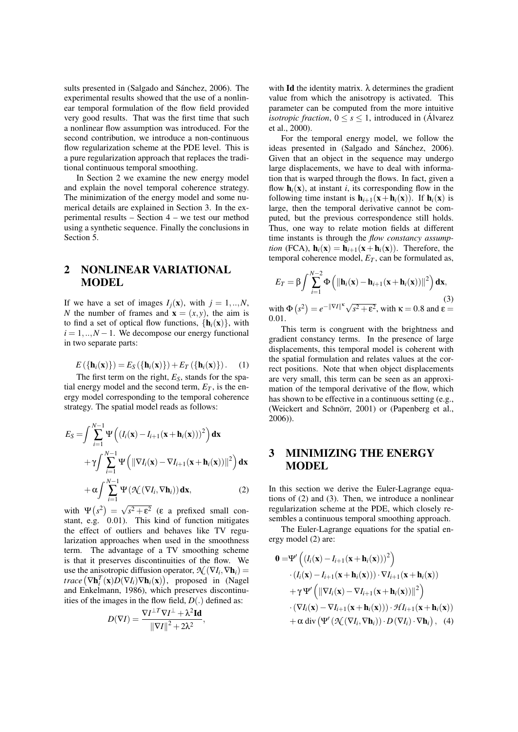sults presented in (Salgado and Sánchez, 2006). The experimental results showed that the use of a nonlinear temporal formulation of the flow field provided very good results. That was the first time that such a nonlinear flow assumption was introduced. For the second contribution, we introduce a non-continuous flow regularization scheme at the PDE level. This is a pure regularization approach that replaces the traditional continuous temporal smoothing.

In Section 2 we examine the new energy model and explain the novel temporal coherence strategy. The minimization of the energy model and some numerical details are explained in Section 3. In the experimental results – Section 4 – we test our method using a synthetic sequence. Finally the conclusions in Section 5.

# 2 NONLINEAR VARIATIONAL MODEL

If we have a set of images  $I_i(\mathbf{x})$ , with  $j = 1, ..., N$ , *N* the number of frames and  $\mathbf{x} = (x, y)$ , the aim is to find a set of optical flow functions,  $\{h_i(x)\}\,$  with  $i = 1, \ldots, N - 1$ . We decompose our energy functional in two separate parts:

$$
E\left(\left\{\mathbf{h}_i(\mathbf{x})\right\}\right) = E_S\left(\left\{\mathbf{h}_i(\mathbf{x})\right\}\right) + E_T\left(\left\{\mathbf{h}_i(\mathbf{x})\right\}\right). \tag{1}
$$

The first term on the right, *ES*, stands for the spatial energy model and the second term,  $E_T$ , is the energy model corresponding to the temporal coherence strategy. The spatial model reads as follows:

$$
E_S = \int \sum_{i=1}^{N-1} \Psi \left( (I_i(\mathbf{x}) - I_{i+1}(\mathbf{x} + \mathbf{h}_i(\mathbf{x})))^2 \right) \mathbf{dx}
$$
  
+  $\gamma \int \sum_{i=1}^{N-1} \Psi \left( \|\nabla I_i(\mathbf{x}) - \nabla I_{i+1}(\mathbf{x} + \mathbf{h}_i(\mathbf{x}))\|^2 \right) \mathbf{dx}$   
+  $\alpha \int \sum_{i=1}^{N-1} \Psi \left( \mathcal{K}(\nabla I_i, \nabla \mathbf{h}_i) \right) \mathbf{dx},$  (2)

with  $\Psi(s^2) =$  $s^2 + \varepsilon^2$  ( $\varepsilon$  a prefixed small constant, e.g.  $(0.01)$ . This kind of function mitigates the effect of outliers and behaves like TV regularization approaches when used in the smoothness term. The advantage of a TV smoothing scheme is that it preserves discontinuities of the flow. We use the anisotropic diffusion operator,  $\mathcal{N}(\nabla I_i, \nabla \mathbf{h}_i)$  = *trace*  $(\nabla \mathbf{h}_i^T(\mathbf{x})D(\nabla I_i)\nabla \mathbf{h}_i(\mathbf{x}))$ , proposed in (Nagel and Enkelmann, 1986), which preserves discontinuities of the images in the flow field, *D*(.) defined as:

$$
D(\nabla I) = \frac{\nabla I^{\perp T} \nabla I^{\perp} + \lambda^2 \mathbf{Id}}{\|\nabla I\|^2 + 2\lambda^2}
$$

,

with Id the identity matrix.  $\lambda$  determines the gradient value from which the anisotropy is activated. This parameter can be computed from the more intuitive *isotropic fraction*,  $0 \leq s \leq 1$ , introduced in (Álvarez et al., 2000).

For the temporal energy model, we follow the ideas presented in (Salgado and Sánchez, 2006). Given that an object in the sequence may undergo large displacements, we have to deal with information that is warped through the flows. In fact, given a flow  $\mathbf{h}_i(\mathbf{x})$ , at instant *i*, its corresponding flow in the following time instant is  $\mathbf{h}_{i+1}(\mathbf{x}+\mathbf{h}_i(\mathbf{x}))$ . If  $\mathbf{h}_i(\mathbf{x})$  is large, then the temporal derivative cannot be computed, but the previous correspondence still holds. Thus, one way to relate motion fields at different time instants is through the *flow constancy assumption* (FCA),  $h_i(x) = h_{i+1}(x+h_i(x))$ . Therefore, the temporal coherence model,  $E_T$ , can be formulated as,

$$
E_T = \beta \int \sum_{i=1}^{N-2} \Phi\left(\|\mathbf{h}_i(\mathbf{x}) - \mathbf{h}_{i+1}(\mathbf{x} + \mathbf{h}_i(\mathbf{x}))\|^2\right) \mathbf{dx},
$$
  
with  $\Phi(s^2) = e^{-\|\nabla I\|^{\kappa}} \sqrt{s^2 + \varepsilon^2}$ , with  $\kappa = 0.8$  and  $\varepsilon = 0.01$ .

This term is congruent with the brightness and gradient constancy terms. In the presence of large displacements, this temporal model is coherent with the spatial formulation and relates values at the correct positions. Note that when object displacements are very small, this term can be seen as an approximation of the temporal derivative of the flow, which has shown to be effective in a continuous setting (e.g., (Weickert and Schnörr, 2001) or (Papenberg et al., 2006)).

# 3 MINIMIZING THE ENERGY MODEL

In this section we derive the Euler-Lagrange equations of (2) and (3). Then, we introduce a nonlinear regularization scheme at the PDE, which closely resembles a continuous temporal smoothing approach.

The Euler-Lagrange equations for the spatial energy model (2) are:

$$
0 = \Psi' \left( (I_i(\mathbf{x}) - I_{i+1}(\mathbf{x} + \mathbf{h}_i(\mathbf{x})))^2 \right)
$$
  
\n
$$
\cdot (I_i(\mathbf{x}) - I_{i+1}(\mathbf{x} + \mathbf{h}_i(\mathbf{x}))) \cdot \nabla I_{i+1}(\mathbf{x} + \mathbf{h}_i(\mathbf{x}))
$$
  
\n
$$
+ \gamma \Psi' \left( \|\nabla I_i(\mathbf{x}) - \nabla I_{i+1}(\mathbf{x} + \mathbf{h}_i(\mathbf{x}))\|^2 \right)
$$
  
\n
$$
\cdot (\nabla I_i(\mathbf{x}) - \nabla I_{i+1}(\mathbf{x} + \mathbf{h}_i(\mathbf{x}))) \cdot \mathcal{H} I_{i+1}(\mathbf{x} + \mathbf{h}_i(\mathbf{x}))
$$
  
\n
$$
+ \alpha \operatorname{div} (\Psi' (\mathcal{K} (\nabla I_i, \nabla \mathbf{h}_i)) \cdot D (\nabla I_i) \cdot \nabla \mathbf{h}_i), \quad (4)
$$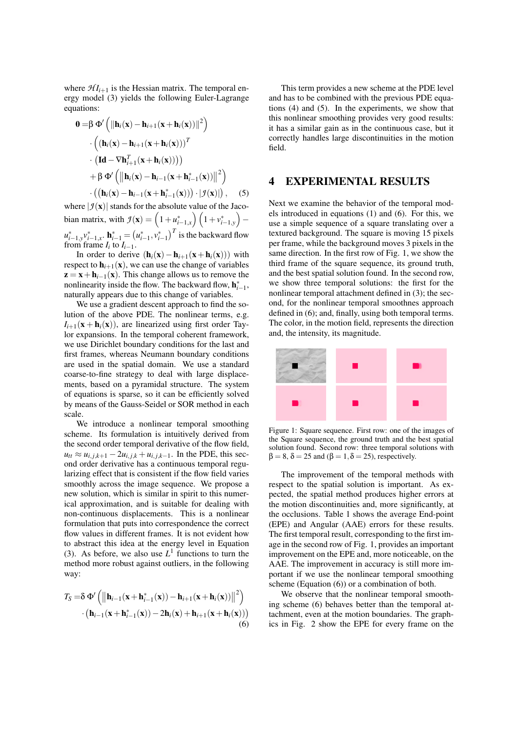where  $\mathcal{H} I_{i+1}$  is the Hessian matrix. The temporal energy model (3) yields the following Euler-Lagrange equations:

$$
0 = \beta \Phi' \left( \|\mathbf{h}_i(\mathbf{x}) - \mathbf{h}_{i+1}(\mathbf{x} + \mathbf{h}_i(\mathbf{x}))\|^2 \right)
$$
  
\n
$$
\cdot \left( (\mathbf{h}_i(\mathbf{x}) - \mathbf{h}_{i+1}(\mathbf{x} + \mathbf{h}_i(\mathbf{x})))^T
$$
  
\n
$$
\cdot (\mathbf{Id} - \nabla \mathbf{h}_{i+1}^T(\mathbf{x} + \mathbf{h}_i(\mathbf{x})))
$$
  
\n
$$
+ \beta \Phi' \left( \|\mathbf{h}_i(\mathbf{x}) - \mathbf{h}_{i-1}(\mathbf{x} + \mathbf{h}_{i-1}^*(\mathbf{x}))\|^2 \right)
$$
  
\n
$$
\cdot \left( (\mathbf{h}_i(\mathbf{x}) - \mathbf{h}_{i-1}(\mathbf{x} + \mathbf{h}_{i-1}^*(\mathbf{x}))) \cdot |\mathcal{I}(\mathbf{x})| \right), \quad (5)
$$

where  $|\mathcal{I}(\mathbf{x})|$  stands for the absolute value of the Jacobian matrix, with  $\mathcal{I}(\mathbf{x}) = \left(1 + u_{i-1,x}^*\right) \left(1 + v_{i-1,y}^*\right)$  $u_{i-1,y}^* v_{i-1,x}^*$ .  $\mathbf{h}_{i-1}^* = (u_{i-1}^*, v_{i-1}^*)^T$  is the backward flow from frame  $I_i$  to  $I_{i-1}$ .

In order to derive  $(h_i(x) - h_{i+1}(x+h_i(x)))$  with respect to  $h_{i+1}(\mathbf{x})$ , we can use the change of variables  $z = x + h_{i-1}(x)$ . This change allows us to remove the nonlinearity inside the flow. The backward flow,  $h_{i-1}^*$ , naturally appears due to this change of variables.

We use a gradient descent approach to find the solution of the above PDE. The nonlinear terms, e.g.  $I_{i+1}(\mathbf{x} + \mathbf{h}_i(\mathbf{x}))$ , are linearized using first order Taylor expansions. In the temporal coherent framework, we use Dirichlet boundary conditions for the last and first frames, whereas Neumann boundary conditions are used in the spatial domain. We use a standard coarse-to-fine strategy to deal with large displacements, based on a pyramidal structure. The system of equations is sparse, so it can be efficiently solved by means of the Gauss-Seidel or SOR method in each scale.

We introduce a nonlinear temporal smoothing scheme. Its formulation is intuitively derived from the second order temporal derivative of the flow field,  $u_{tt} \approx u_{i,j,k+1} - 2u_{i,j,k} + u_{i,j,k-1}$ . In the PDE, this second order derivative has a continuous temporal regularizing effect that is consistent if the flow field varies smoothly across the image sequence. We propose a new solution, which is similar in spirit to this numerical approximation, and is suitable for dealing with non-continuous displacements. This is a nonlinear formulation that puts into correspondence the correct flow values in different frames. It is not evident how to abstract this idea at the energy level in Equation (3). As before, we also use  $L^1$  functions to turn the method more robust against outliers, in the following way:

$$
T_S = \delta \Phi' \left( \left\| \mathbf{h}_{i-1}(\mathbf{x} + \mathbf{h}_{i-1}^*(\mathbf{x})) - \mathbf{h}_{i+1}(\mathbf{x} + \mathbf{h}_i(\mathbf{x})) \right\|^2 \right) \cdot \left( \mathbf{h}_{i-1}(\mathbf{x} + \mathbf{h}_{i-1}^*(\mathbf{x})) - 2\mathbf{h}_i(\mathbf{x}) + \mathbf{h}_{i+1}(\mathbf{x} + \mathbf{h}_i(\mathbf{x})) \right) \n(6)
$$

This term provides a new scheme at the PDE level and has to be combined with the previous PDE equations (4) and (5). In the experiments, we show that this nonlinear smoothing provides very good results: it has a similar gain as in the continuous case, but it correctly handles large discontinuities in the motion field.

#### 4 EXPERIMENTAL RESULTS

Next we examine the behavior of the temporal models introduced in equations (1) and (6). For this, we use a simple sequence of a square translating over a textured background. The square is moving 15 pixels per frame, while the background moves 3 pixels in the same direction. In the first row of Fig. 1, we show the third frame of the square sequence, its ground truth, and the best spatial solution found. In the second row, we show three temporal solutions: the first for the nonlinear temporal attachment defined in (3); the second, for the nonlinear temporal smoothnes approach defined in (6); and, finally, using both temporal terms. The color, in the motion field, represents the direction and, the intensity, its magnitude.



Figure 1: Square sequence. First row: one of the images of the Square sequence, the ground truth and the best spatial solution found. Second row: three temporal solutions with  $\beta = 8$ ,  $\delta = 25$  and  $(\beta = 1, \delta = 25)$ , respectively.

The improvement of the temporal methods with respect to the spatial solution is important. As expected, the spatial method produces higher errors at the motion discontinuities and, more significantly, at the occlusions. Table 1 shows the average End-point (EPE) and Angular (AAE) errors for these results. The first temporal result, corresponding to the first image in the second row of Fig. 1, provides an important improvement on the EPE and, more noticeable, on the AAE. The improvement in accuracy is still more important if we use the nonlinear temporal smoothing scheme (Equation (6)) or a combination of both.

We observe that the nonlinear temporal smoothing scheme (6) behaves better than the temporal attachment, even at the motion boundaries. The graphics in Fig. 2 show the EPE for every frame on the